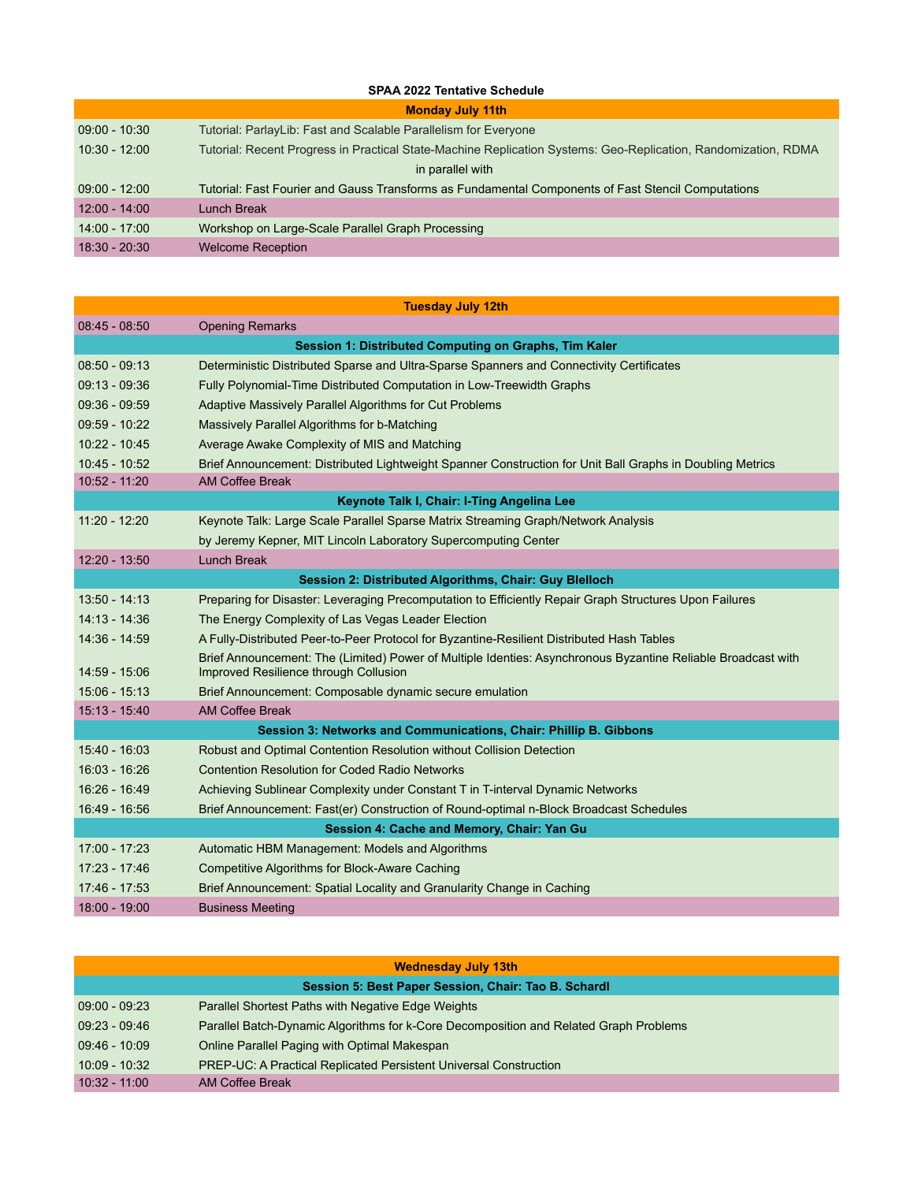## **SPAA 2022 Tentative Schedule**

| <b>Monday July 11th</b> |                                                                                                                |  |
|-------------------------|----------------------------------------------------------------------------------------------------------------|--|
| $09:00 - 10:30$         | Tutorial: ParlayLib: Fast and Scalable Parallelism for Everyone                                                |  |
| $10:30 - 12:00$         | Tutorial: Recent Progress in Practical State-Machine Replication Systems: Geo-Replication, Randomization, RDMA |  |
| in parallel with        |                                                                                                                |  |
| $09:00 - 12:00$         | Tutorial: Fast Fourier and Gauss Transforms as Fundamental Components of Fast Stencil Computations             |  |
| $12:00 - 14:00$         | Lunch Break                                                                                                    |  |
| $14:00 - 17:00$         | Workshop on Large-Scale Parallel Graph Processing                                                              |  |
| $18:30 - 20:30$         | <b>Welcome Reception</b>                                                                                       |  |
|                         |                                                                                                                |  |

| <b>Tuesday July 12th</b>                   |                                                                                                                                                       |  |
|--------------------------------------------|-------------------------------------------------------------------------------------------------------------------------------------------------------|--|
| $08:45 - 08:50$                            | <b>Opening Remarks</b>                                                                                                                                |  |
|                                            | Session 1: Distributed Computing on Graphs, Tim Kaler                                                                                                 |  |
| $08:50 - 09:13$                            | Deterministic Distributed Sparse and Ultra-Sparse Spanners and Connectivity Certificates                                                              |  |
| $09:13 - 09:36$                            | Fully Polynomial-Time Distributed Computation in Low-Treewidth Graphs                                                                                 |  |
| $09:36 - 09:59$                            | Adaptive Massively Parallel Algorithms for Cut Problems                                                                                               |  |
| $09:59 - 10:22$                            | Massively Parallel Algorithms for b-Matching                                                                                                          |  |
| $10:22 - 10:45$                            | Average Awake Complexity of MIS and Matching                                                                                                          |  |
| 10:45 - 10:52                              | Brief Announcement: Distributed Lightweight Spanner Construction for Unit Ball Graphs in Doubling Metrics                                             |  |
| 10:52 - 11:20                              | <b>AM Coffee Break</b>                                                                                                                                |  |
|                                            | Keynote Talk I, Chair: I-Ting Angelina Lee                                                                                                            |  |
| $11:20 - 12:20$                            | Keynote Talk: Large Scale Parallel Sparse Matrix Streaming Graph/Network Analysis                                                                     |  |
|                                            | by Jeremy Kepner, MIT Lincoln Laboratory Supercomputing Center                                                                                        |  |
| 12:20 - 13:50                              | <b>Lunch Break</b>                                                                                                                                    |  |
|                                            | <b>Session 2: Distributed Algorithms, Chair: Guy Blelloch</b>                                                                                         |  |
| $13:50 - 14:13$                            | Preparing for Disaster: Leveraging Precomputation to Efficiently Repair Graph Structures Upon Failures                                                |  |
| $14:13 - 14:36$                            | The Energy Complexity of Las Vegas Leader Election                                                                                                    |  |
| $14:36 - 14:59$                            | A Fully-Distributed Peer-to-Peer Protocol for Byzantine-Resilient Distributed Hash Tables                                                             |  |
| 14:59 - 15:06                              | Brief Announcement: The (Limited) Power of Multiple Identies: Asynchronous Byzantine Reliable Broadcast with<br>Improved Resilience through Collusion |  |
| $15:06 - 15:13$                            | Brief Announcement: Composable dynamic secure emulation                                                                                               |  |
| $15:13 - 15:40$                            | <b>AM Coffee Break</b>                                                                                                                                |  |
|                                            | Session 3: Networks and Communications, Chair: Phillip B. Gibbons                                                                                     |  |
| 15:40 - 16:03                              | Robust and Optimal Contention Resolution without Collision Detection                                                                                  |  |
| 16:03 - 16:26                              | <b>Contention Resolution for Coded Radio Networks</b>                                                                                                 |  |
| 16:26 - 16:49                              | Achieving Sublinear Complexity under Constant T in T-interval Dynamic Networks                                                                        |  |
| 16:49 - 16:56                              | Brief Announcement: Fast(er) Construction of Round-optimal n-Block Broadcast Schedules                                                                |  |
| Session 4: Cache and Memory, Chair: Yan Gu |                                                                                                                                                       |  |
| $17:00 - 17:23$                            | Automatic HBM Management: Models and Algorithms                                                                                                       |  |
| 17:23 - 17:46                              | <b>Competitive Algorithms for Block-Aware Caching</b>                                                                                                 |  |
| 17:46 - 17:53                              | Brief Announcement: Spatial Locality and Granularity Change in Caching                                                                                |  |
| 18:00 - 19:00                              | <b>Business Meeting</b>                                                                                                                               |  |

| <b>Wednesday July 13th</b>                           |                                                                                       |  |
|------------------------------------------------------|---------------------------------------------------------------------------------------|--|
| Session 5: Best Paper Session, Chair: Tao B. Schardl |                                                                                       |  |
| $09:00 - 09:23$                                      | Parallel Shortest Paths with Negative Edge Weights                                    |  |
| $09:23 - 09:46$                                      | Parallel Batch-Dynamic Algorithms for k-Core Decomposition and Related Graph Problems |  |
| $09:46 - 10:09$                                      | Online Parallel Paging with Optimal Makespan                                          |  |
| $10:09 - 10:32$                                      | <b>PREP-UC: A Practical Replicated Persistent Universal Construction</b>              |  |
| $10:32 - 11:00$                                      | AM Coffee Break                                                                       |  |